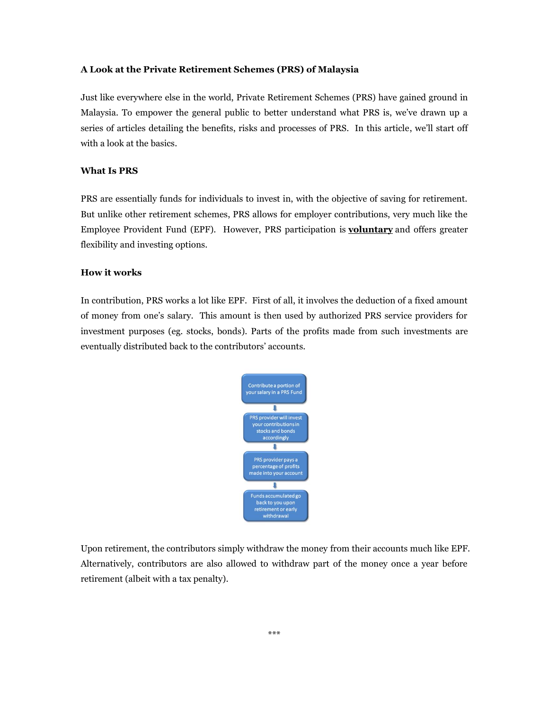## **A Look at the Private Retirement Schemes (PRS) of Malaysia**

Just like everywhere else in the world, Private Retirement Schemes (PRS) have gained ground in Malaysia. To empower the general public to better understand what PRS is, we've drawn up a series of articles detailing the benefits, risks and processes of PRS. In this article, we'll start off with a look at the basics.

## **What Is PRS**

PRS are essentially funds for individuals to invest in, with the objective of saving for retirement. But unlike other retirement schemes, PRS allows for employer contributions, very much like the Employee Provident Fund (EPF). However, PRS participation is **voluntary** and offers greater flexibility and investing options.

## **How it works**

In contribution, PRS works a lot like EPF. First of all, it involves the deduction of a fixed amount of money from one's salary. This amount is then used by authorized PRS service providers for investment purposes (eg. stocks, bonds). Parts of the profits made from such investments are eventually distributed back to the contributors' accounts.



Upon retirement, the contributors simply withdraw the money from their accounts much like EPF. Alternatively, contributors are also allowed to withdraw part of the money once a year before retirement (albeit with a tax penalty).